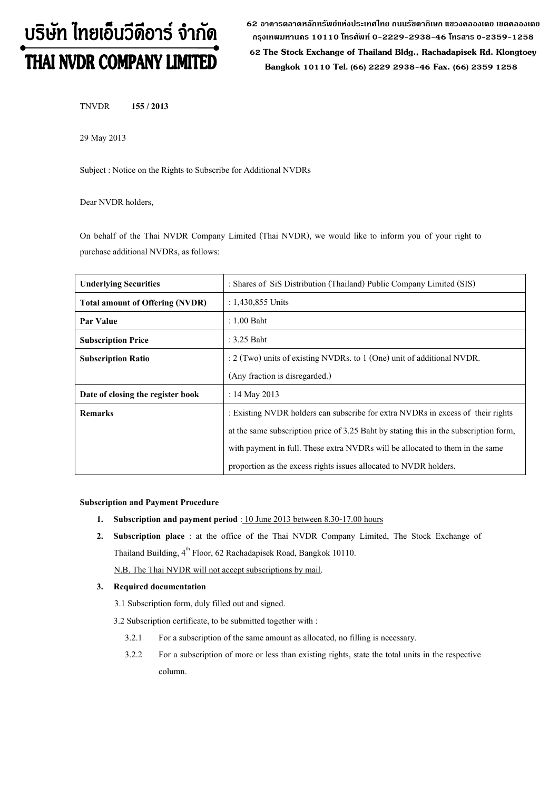# บริษัท ไทยเอ็นวีดีอาร์ จำกัด THAI NVDR COMPANY LIMITED

**62 อาคารตลาดหลักทรัพย์แห่งประเทศไทย ถนนรัชดาภิเษก แขวงคลองเตย เขตคลองเตย กรุงเทพมหานคร 10110 โทรศัพท์0-2229-2938-46 โทรสาร 0-2359-1258**

 **62 The Stock Exchange of Thailand Bldg., Rachadapisek Rd. Klongtoey Bangkok 10110 Tel. (66) 2229 2938-46 Fax. (66) 2359 1258**

TNVDR **155 / 2013**

29 May 2013

Subject : Notice on the Rights to Subscribe for Additional NVDRs

Dear NVDR holders,

On behalf of the Thai NVDR Company Limited (Thai NVDR), we would like to inform you of your right to purchase additional NVDRs, as follows:

| <b>Underlying Securities</b>           | : Shares of SiS Distribution (Thailand) Public Company Limited (SIS)                  |
|----------------------------------------|---------------------------------------------------------------------------------------|
| <b>Total amount of Offering (NVDR)</b> | : $1,430,855$ Units                                                                   |
| Par Value                              | $: 1.00$ Baht                                                                         |
| <b>Subscription Price</b>              | $: 3.25$ Baht                                                                         |
| <b>Subscription Ratio</b>              | $: 2$ (Two) units of existing NVDRs. to 1 (One) unit of additional NVDR.              |
|                                        | (Any fraction is disregarded.)                                                        |
| Date of closing the register book      | : 14 May 2013                                                                         |
| <b>Remarks</b>                         | : Existing NVDR holders can subscribe for extra NVDRs in excess of their rights       |
|                                        | at the same subscription price of 3.25 Baht by stating this in the subscription form, |
|                                        | with payment in full. These extra NVDRs will be allocated to them in the same         |
|                                        | proportion as the excess rights issues allocated to NVDR holders.                     |

#### **Subscription and Payment Procedure**

- **1.** Subscription and payment period : 10 June 2013 between 8.30-17.00 hours
- **2. Subscription place** : at the office of the Thai NVDR Company Limited, The Stock Exchange of Thailand Building,  $4^{\text{th}}$  Floor, 62 Rachadapisek Road, Bangkok 10110.

N.B. The Thai NVDR will not accept subscriptions by mail.

#### **3. Required documentation**

- 3.1 Subscription form, duly filled out and signed.
- 3.2 Subscription certificate, to be submitted together with :
	- 3.2.1 For a subscription of the same amount as allocated, no filling is necessary.
	- 3.2.2 For a subscription of more or less than existing rights, state the total units in the respective column.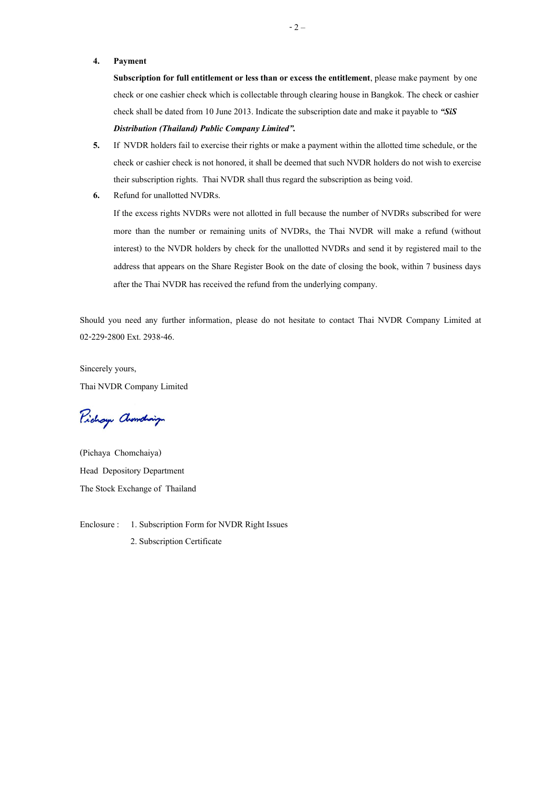#### **4. Payment**

**Subscription for full entitlement or less than or excess the entitlement**, please make payment by one check or one cashier check which is collectable through clearing house in Bangkok. The check or cashier check shall be dated from 10 June2013. Indicate the subscription date and make it payable to *"SiS* 

### *Distribution (Thailand) Public Company Limited".*

- **5.** If NVDR holders fail to exercise their rights or make a payment within the allotted time schedule, or the check or cashier check is not honored, it shall be deemed that such NVDR holders do not wish to exercise their subscription rights. Thai NVDR shall thus regard the subscription as being void.
- **6.** Refund for unallotted NVDRs.

If the excess rights NVDRs were not allotted in full because the number of NVDRs subscribed for were more than the number or remaining units of NVDRs, the Thai NVDR will make a refund (without interest) to the NVDR holders by check for the unallotted NVDRs and send it by registered mail to the address that appears on the Share Register Book on the date of closing the book, within 7 business days after the Thai NVDR has received the refund from the underlying company.

Should you need any further information, please do not hesitate to contact Thai NVDR Company Limited at 02-229-2800 Ext. 2938-46.

Sincerely yours, Thai NVDR Company Limited

Pichay Chanding

(Pichaya Chomchaiya) Head Depository Department The Stock Exchange of Thailand

Enclosure : 1. Subscription Form for NVDR Right Issues 2. Subscription Certificate